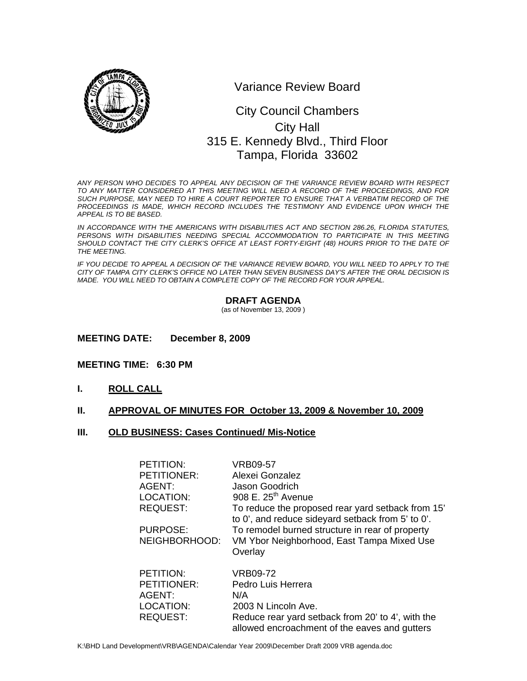

Variance Review Board

# 0 315 E. Kennedy Blvd., Third Floor City Council Chambers City Hall Tampa, Florida 33602

*ANY PERSON WHO DECIDES TO APPEAL ANY DECISION OF THE VARIANCE REVIEW BOARD WITH RESPECT TO ANY MATTER CONSIDERED AT THIS MEETING WILL NEED A RECORD OF THE PROCEEDINGS, AND FOR SUCH PURPOSE, MAY NEED TO HIRE A COURT REPORTER TO ENSURE THAT A VERBATIM RECORD OF THE*  PROCEEDINGS IS MADE, WHICH RECORD INCLUDES THE TESTIMONY AND EVIDENCE UPON WHICH THE *APPEAL IS TO BE BASED.* 

*IN ACCORDANCE WITH THE AMERICANS WITH DISABILITIES ACT AND SECTION 286.26, FLORIDA STATUTES, PERSONS WITH DISABILITIES NEEDING SPECIAL ACCOMMODATION TO PARTICIPATE IN THIS MEETING*  SHOULD CONTACT THE CITY CLERK'S OFFICE AT LEAST FORTY-EIGHT (48) HOURS PRIOR TO THE DATE OF *THE MEETING.* 

*IF YOU DECIDE TO APPEAL A DECISION OF THE VARIANCE REVIEW BOARD, YOU WILL NEED TO APPLY TO THE CITY OF TAMPA CITY CLERK'S OFFICE NO LATER THAN SEVEN BUSINESS DAY'S AFTER THE ORAL DECISION IS MADE. YOU WILL NEED TO OBTAIN A COMPLETE COPY OF THE RECORD FOR YOUR APPEAL.* 

### **DRAFT AGENDA**

(as of November 13, 2009 )

### **MEETING DATE: December 8, 2009**

### **MEETING TIME: 6:30 PM**

**I. ROLL CALL**

### **II. APPROVAL OF MINUTES FOR October 13, 2009 & November 10, 2009**

#### **III. OLD BUSINESS: Cases Continued/ Mis-Notice**

| <b>PETITION:</b>   | VRB09-57                                          |
|--------------------|---------------------------------------------------|
| <b>PETITIONER:</b> | Alexei Gonzalez                                   |
| AGENT:             | Jason Goodrich                                    |
| LOCATION:          | 908 E. $25th$ Avenue                              |
| <b>REQUEST:</b>    | To reduce the proposed rear yard setback from 15' |
|                    | to 0', and reduce sideyard setback from 5' to 0'. |
| PURPOSE:           | To remodel burned structure in rear of property   |
| NEIGHBORHOOD:      | VM Ybor Neighborhood, East Tampa Mixed Use        |
|                    | Overlay                                           |
|                    |                                                   |
| PETITION:          | VRB09-72                                          |
| <b>PETITIONER:</b> | Pedro Luis Herrera                                |
| AGENT:             | N/A                                               |
| LOCATION:          | 2003 N Lincoln Ave.                               |
| <b>REQUEST:</b>    | Reduce rear yard setback from 20' to 4', with the |
|                    | allowed encroachment of the eaves and gutters     |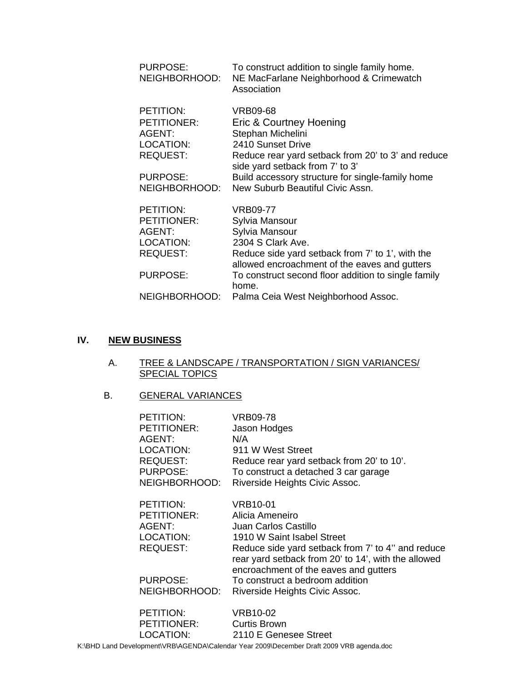| PURPOSE:<br>NEIGHBORHOOD:                                          | To construct addition to single family home.<br>NE MacFarlane Neighborhood & Crimewatch<br>Association                                                                        |
|--------------------------------------------------------------------|-------------------------------------------------------------------------------------------------------------------------------------------------------------------------------|
| PETITION:<br>PETITIONER:<br>AGENT:<br>LOCATION:<br><b>REQUEST:</b> | <b>VRB09-68</b><br>Eric & Courtney Hoening<br>Stephan Michelini<br>2410 Sunset Drive<br>Reduce rear yard setback from 20' to 3' and reduce<br>side yard setback from 7' to 3' |
| <b>PURPOSE:</b>                                                    | Build accessory structure for single-family home                                                                                                                              |
| NEIGHBORHOOD:                                                      | New Suburb Beautiful Civic Assn.                                                                                                                                              |
| PETITION:                                                          | VRB09-77                                                                                                                                                                      |
| <b>PETITIONER:</b>                                                 | Sylvia Mansour                                                                                                                                                                |
| AGENT:                                                             | Sylvia Mansour                                                                                                                                                                |
| LOCATION:                                                          | 2304 S Clark Ave.                                                                                                                                                             |
| <b>REQUEST:</b>                                                    | Reduce side yard setback from 7' to 1', with the<br>allowed encroachment of the eaves and gutters                                                                             |
| <b>PURPOSE:</b>                                                    | To construct second floor addition to single family<br>home.                                                                                                                  |
| NEIGHBORHOOD:                                                      | Palma Ceia West Neighborhood Assoc.                                                                                                                                           |

# **IV. NEW BUSINESS**

A. TREE & LANDSCAPE / TRANSPORTATION / SIGN VARIANCES/ **SPECIAL TOPICS** 

## B. GENERAL VARIANCES

| PETITION:                                                                 | VRB09-78                                                                                                                                                                                                                               |
|---------------------------------------------------------------------------|----------------------------------------------------------------------------------------------------------------------------------------------------------------------------------------------------------------------------------------|
| PETITIONER:                                                               | Jason Hodges                                                                                                                                                                                                                           |
| AGENT:                                                                    | N/A                                                                                                                                                                                                                                    |
| LOCATION:                                                                 | 911 W West Street                                                                                                                                                                                                                      |
| <b>REQUEST:</b>                                                           | Reduce rear yard setback from 20' to 10'.                                                                                                                                                                                              |
| <b>PURPOSE:</b>                                                           | To construct a detached 3 car garage                                                                                                                                                                                                   |
| NEIGHBORHOOD:                                                             | Riverside Heights Civic Assoc.                                                                                                                                                                                                         |
| PETITION:<br><b>PETITIONER:</b><br>AGENT:<br>LOCATION:<br><b>REQUEST:</b> | VRB10-01<br>Alicia Ameneiro<br>Juan Carlos Castillo<br>1910 W Saint Isabel Street<br>Reduce side yard setback from 7' to 4" and reduce<br>rear yard setback from 20' to 14', with the allowed<br>encroachment of the eaves and gutters |
| PURPOSE:                                                                  | To construct a bedroom addition                                                                                                                                                                                                        |
| NEIGHBORHOOD:                                                             | Riverside Heights Civic Assoc.                                                                                                                                                                                                         |
| PETITION:                                                                 | VRB10-02                                                                                                                                                                                                                               |
| PETITIONER:                                                               | <b>Curtis Brown</b>                                                                                                                                                                                                                    |
| LOCATION:                                                                 | 2110 E Genesee Street                                                                                                                                                                                                                  |

K:\BHD Land Development\VRB\AGENDA\Calendar Year 2009\December Draft 2009 VRB agenda.doc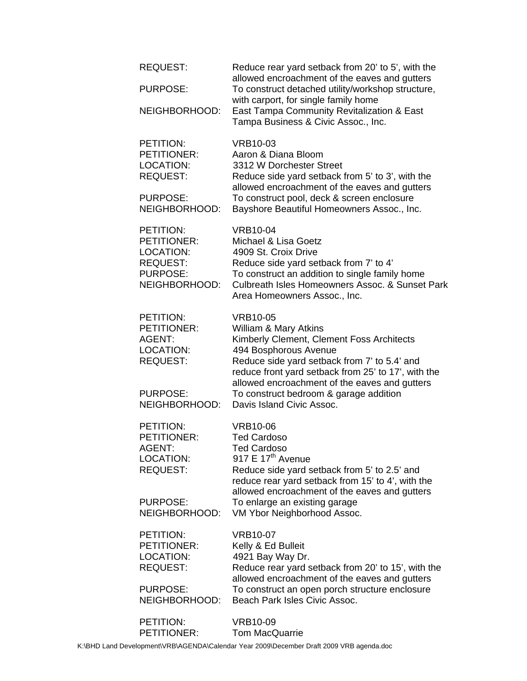| <b>REQUEST:</b>    | Reduce rear yard setback from 20' to 5', with the<br>allowed encroachment of the eaves and gutters                                                                             |
|--------------------|--------------------------------------------------------------------------------------------------------------------------------------------------------------------------------|
| <b>PURPOSE:</b>    | To construct detached utility/workshop structure,<br>with carport, for single family home<br>East Tampa Community Revitalization & East<br>Tampa Business & Civic Assoc., Inc. |
| NEIGHBORHOOD:      |                                                                                                                                                                                |
| PETITION:          | <b>VRB10-03</b>                                                                                                                                                                |
| PETITIONER:        | Aaron & Diana Bloom                                                                                                                                                            |
| LOCATION:          | 3312 W Dorchester Street                                                                                                                                                       |
| <b>REQUEST:</b>    | Reduce side yard setback from 5' to 3', with the<br>allowed encroachment of the eaves and gutters                                                                              |
| <b>PURPOSE:</b>    | To construct pool, deck & screen enclosure                                                                                                                                     |
| NEIGHBORHOOD:      | Bayshore Beautiful Homeowners Assoc., Inc.                                                                                                                                     |
| PETITION:          | <b>VRB10-04</b>                                                                                                                                                                |
| <b>PETITIONER:</b> | Michael & Lisa Goetz                                                                                                                                                           |
| <b>LOCATION:</b>   | 4909 St. Croix Drive                                                                                                                                                           |
| <b>REQUEST:</b>    | Reduce side yard setback from 7' to 4'                                                                                                                                         |
| <b>PURPOSE:</b>    | To construct an addition to single family home                                                                                                                                 |
| NEIGHBORHOOD:      | Culbreath Isles Homeowners Assoc. & Sunset Park<br>Area Homeowners Assoc., Inc.                                                                                                |
|                    |                                                                                                                                                                                |
| PETITION:          | <b>VRB10-05</b>                                                                                                                                                                |
| PETITIONER:        | William & Mary Atkins                                                                                                                                                          |
| AGENT:             | Kimberly Clement, Clement Foss Architects                                                                                                                                      |
| LOCATION:          | 494 Bosphorous Avenue                                                                                                                                                          |
| <b>REQUEST:</b>    | Reduce side yard setback from 7' to 5.4' and<br>reduce front yard setback from 25' to 17', with the                                                                            |
|                    | allowed encroachment of the eaves and gutters                                                                                                                                  |
| <b>PURPOSE:</b>    | To construct bedroom & garage addition                                                                                                                                         |
| NEIGHBORHOOD:      | Davis Island Civic Assoc.                                                                                                                                                      |
| PETITION:          | <b>VRB10-06</b>                                                                                                                                                                |
| <b>PETITIONER:</b> | <b>Ted Cardoso</b>                                                                                                                                                             |
| AGENT:             | <b>Ted Cardoso</b>                                                                                                                                                             |
| LOCATION:          | 917 E 17 <sup>th</sup> Avenue                                                                                                                                                  |
| <b>REQUEST:</b>    | Reduce side yard setback from 5' to 2.5' and                                                                                                                                   |
|                    | reduce rear yard setback from 15' to 4', with the<br>allowed encroachment of the eaves and gutters                                                                             |
| <b>PURPOSE:</b>    | To enlarge an existing garage                                                                                                                                                  |
| NEIGHBORHOOD:      | VM Ybor Neighborhood Assoc.                                                                                                                                                    |
| PETITION:          | <b>VRB10-07</b>                                                                                                                                                                |
| PETITIONER:        | Kelly & Ed Bulleit                                                                                                                                                             |
| LOCATION:          | 4921 Bay Way Dr.                                                                                                                                                               |
| <b>REQUEST:</b>    | Reduce rear yard setback from 20' to 15', with the                                                                                                                             |
|                    | allowed encroachment of the eaves and gutters                                                                                                                                  |
| PURPOSE:           | To construct an open porch structure enclosure                                                                                                                                 |
| NEIGHBORHOOD:      | Beach Park Isles Civic Assoc.                                                                                                                                                  |
| PETITION:          | <b>VRB10-09</b>                                                                                                                                                                |
| PETITIONER:        | <b>Tom MacQuarrie</b>                                                                                                                                                          |

K:\BHD Land Development\VRB\AGENDA\Calendar Year 2009\December Draft 2009 VRB agenda.doc